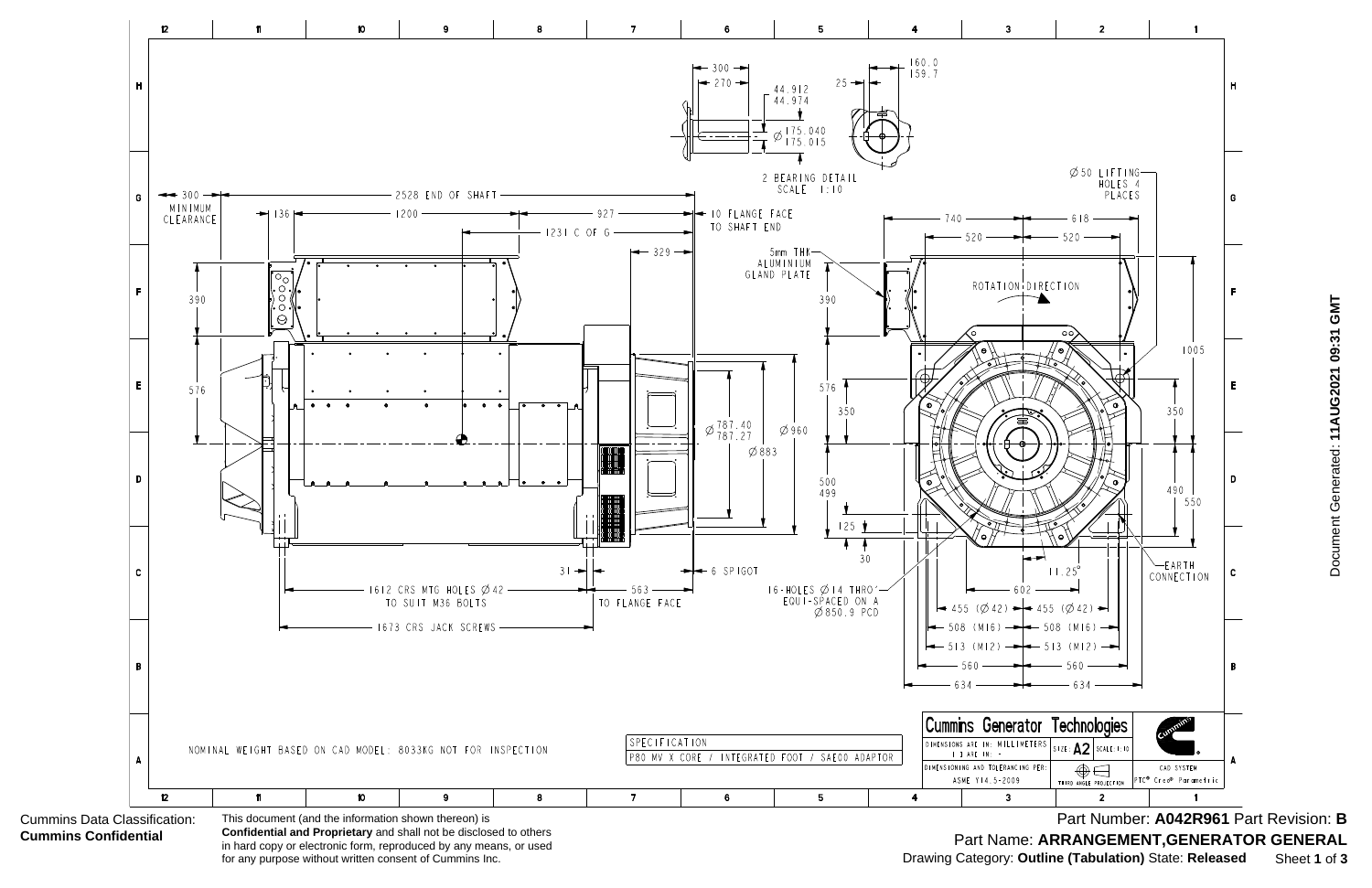

**Confidential and Proprietary** and shall not be disclosed to others in hard copy or electronic form, reproduced by any means, or used for any purpose without written consent of Cummins Inc.

Document Generated: 11AUG2021 09:31 GMT Document Generated: **11AUG2021 09:31 GMT**

Part Number: **A042R961** Part Revision: **B** Part Name: **ARRANGEMENT,GENERATOR GENERAL** Drawing Category: **Outline (Tabulation)** State: **Released** Sheet **1** of **3**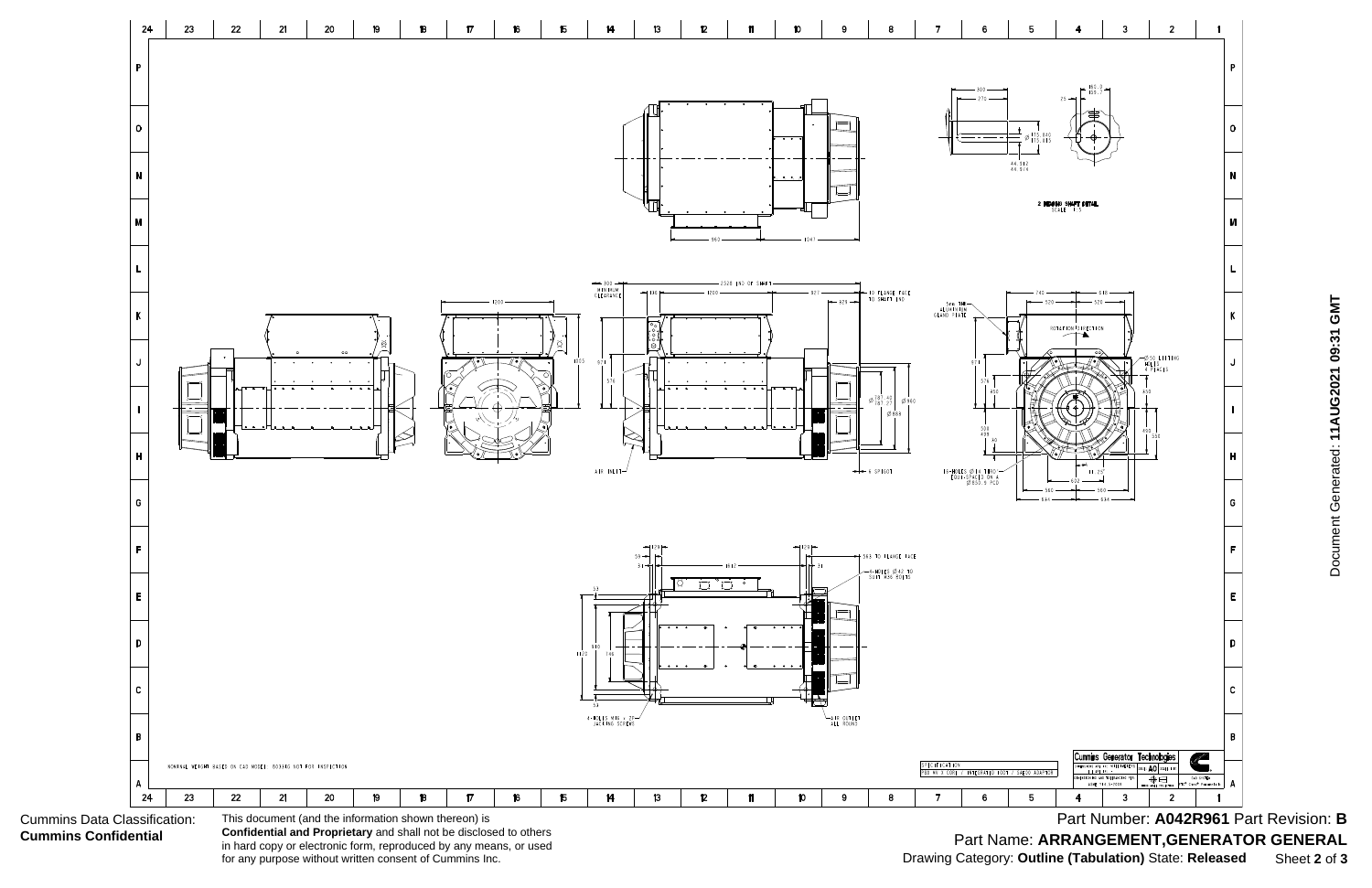Cummins Data Classification: **Cummins Confidential**



**Confidential and Proprietary** and shall not be disclosed to others in hard copy or electronic form, reproduced by any means, or used for any purpose without written consent of Cummins Inc.

Document Generated: 11AUG2021 09:31 GMT Document Generated: **11AUG2021 09:31 GMT**

Part Number: **A042R961** Part Revision: **B** Part Name: **ARRANGEMENT,GENERATOR GENERAL** Drawing Category: **Outline (Tabulation)** State: **Released** Sheet **2** of **3**